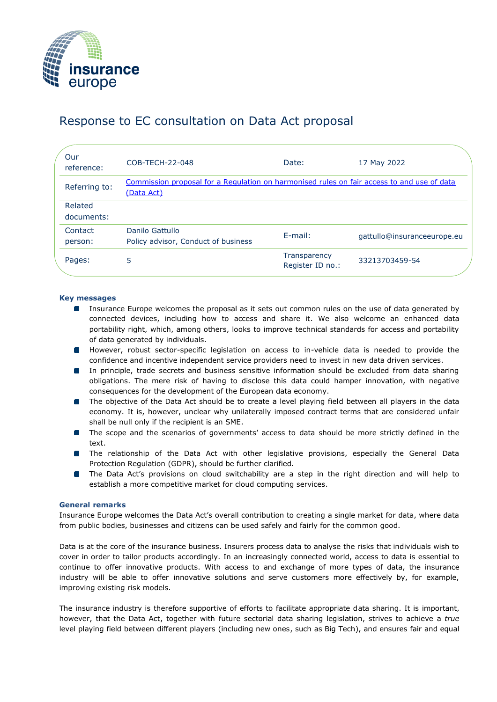

# Response to EC consultation on Data Act proposal

| Our<br>reference:     | COB-TECH-22-048                                                                                          | Date:                            | 17 May 2022                 |
|-----------------------|----------------------------------------------------------------------------------------------------------|----------------------------------|-----------------------------|
| Referring to:         | Commission proposal for a Regulation on harmonised rules on fair access to and use of data<br>(Data Act) |                                  |                             |
| Related<br>documents: |                                                                                                          |                                  |                             |
| Contact<br>person:    | Danilo Gattullo<br>Policy advisor, Conduct of business                                                   | E-mail:                          | gattullo@insuranceeurope.eu |
| Pages:                | 5                                                                                                        | Transparency<br>Register ID no.: | 33213703459-54              |

## **Key messages**

- **IDED** Insurance Europe welcomes the proposal as it sets out common rules on the use of data generated by connected devices, including how to access and share it. We also welcome an enhanced data portability right, which, among others, looks to improve technical standards for access and portability of data generated by individuals.
- **However, robust sector-specific legislation on access to in-vehicle data is needed to provide the** confidence and incentive independent service providers need to invest in new data driven services.
- **In principle, trade secrets and business sensitive information should be excluded from data sharing** obligations. The mere risk of having to disclose this data could hamper innovation, with negative consequences for the development of the European data economy.
- **The objective of the Data Act should be to create a level playing field between all players in the data** economy. It is, however, unclear why unilaterally imposed contract terms that are considered unfair shall be null only if the recipient is an SME.
- **The scope and the scenarios of governments' access to data should be more strictly defined in the** text.
- **The relationship of the Data Act with other legislative provisions, especially the General Data** Protection Regulation (GDPR), should be further clarified.
- **The Data Act's provisions on cloud switchability are a step in the right direction and will help to** establish a more competitive market for cloud computing services.

## **General remarks**

Insurance Europe welcomes the Data Act's overall contribution to creating a single market for data, where data from public bodies, businesses and citizens can be used safely and fairly for the common good.

Data is at the core of the insurance business. Insurers process data to analyse the risks that individuals wish to cover in order to tailor products accordingly. In an increasingly connected world, access to data is essential to continue to offer innovative products. With access to and exchange of more types of data, the insurance industry will be able to offer innovative solutions and serve customers more effectively by, for example, improving existing risk models.

The insurance industry is therefore supportive of efforts to facilitate appropriate data sharing. It is important, however, that the Data Act, together with future sectorial data sharing legislation, strives to achieve a *true* level playing field between different players (including new ones, such as Big Tech), and ensures fair and equal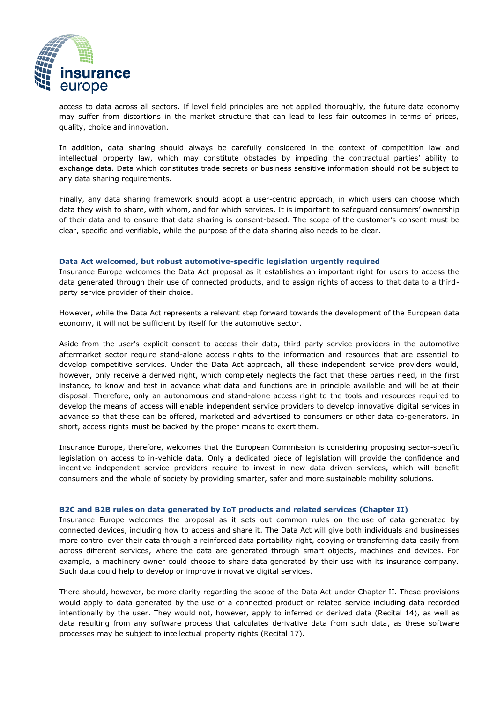

access to data across all sectors. If level field principles are not applied thoroughly, the future data economy may suffer from distortions in the market structure that can lead to less fair outcomes in terms of prices, quality, choice and innovation.

In addition, data sharing should always be carefully considered in the context of competition law and intellectual property law, which may constitute obstacles by impeding the contractual parties' ability to exchange data. Data which constitutes trade secrets or business sensitive information should not be subject to any data sharing requirements.

Finally, any data sharing framework should adopt a user-centric approach, in which users can choose which data they wish to share, with whom, and for which services. It is important to safeguard consumers' ownership of their data and to ensure that data sharing is consent-based. The scope of the customer's consent must be clear, specific and verifiable, while the purpose of the data sharing also needs to be clear.

#### **Data Act welcomed, but robust automotive-specific legislation urgently required**

Insurance Europe welcomes the Data Act proposal as it establishes an important right for users to access the data generated through their use of connected products, and to assign rights of access to that data to a thirdparty service provider of their choice.

However, while the Data Act represents a relevant step forward towards the development of the European data economy, it will not be sufficient by itself for the automotive sector.

Aside from the user's explicit consent to access their data, third party service providers in the automotive aftermarket sector require stand-alone access rights to the information and resources that are essential to develop competitive services. Under the Data Act approach, all these independent service providers would, however, only receive a derived right, which completely neglects the fact that these parties need, in the first instance, to know and test in advance what data and functions are in principle available and will be at their disposal. Therefore, only an autonomous and stand-alone access right to the tools and resources required to develop the means of access will enable independent service providers to develop innovative digital services in advance so that these can be offered, marketed and advertised to consumers or other data co-generators. In short, access rights must be backed by the proper means to exert them.

Insurance Europe, therefore, welcomes that the European Commission is considering proposing sector-specific legislation on access to in-vehicle data. Only a dedicated piece of legislation will provide the confidence and incentive independent service providers require to invest in new data driven services, which will benefit consumers and the whole of society by providing smarter, safer and more sustainable mobility solutions.

#### **B2C and B2B rules on data generated by IoT products and related services (Chapter II)**

Insurance Europe welcomes the proposal as it sets out common rules on the use of data generated by connected devices, including how to access and share it. The Data Act will give both individuals and businesses more control over their data through a reinforced data portability right, copying or transferring data easily from across different services, where the data are generated through smart objects, machines and devices. For example, a machinery owner could choose to share data generated by their use with its insurance company. Such data could help to develop or improve innovative digital services.

There should, however, be more clarity regarding the scope of the Data Act under Chapter II. These provisions would apply to data generated by the use of a connected product or related service including data recorded intentionally by the user. They would not, however, apply to inferred or derived data (Recital 14), as well as data resulting from any software process that calculates derivative data from such data, as these software processes may be subject to intellectual property rights (Recital 17).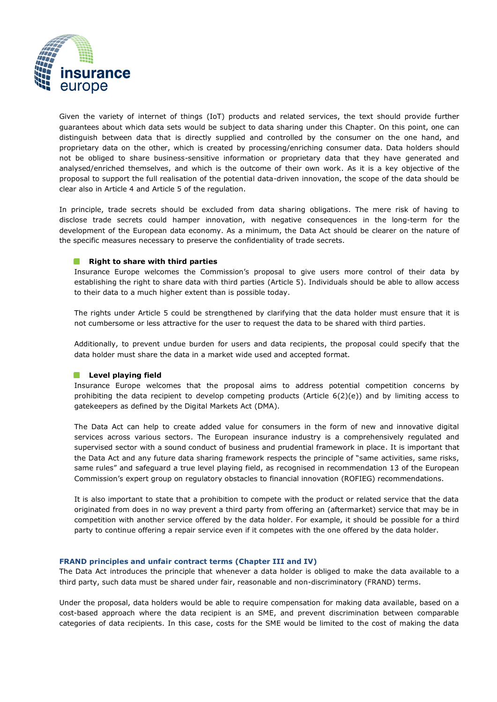

Given the variety of internet of things (IoT) products and related services, the text should provide further guarantees about which data sets would be subject to data sharing under this Chapter. On this point, one can distinguish between data that is directly supplied and controlled by the consumer on the one hand, and proprietary data on the other, which is created by processing/enriching consumer data. Data holders should not be obliged to share business-sensitive information or proprietary data that they have generated and analysed/enriched themselves, and which is the outcome of their own work. As it is a key objective of the proposal to support the full realisation of the potential data-driven innovation, the scope of the data should be clear also in Article 4 and Article 5 of the regulation.

In principle, trade secrets should be excluded from data sharing obligations. The mere risk of having to disclose trade secrets could hamper innovation, with negative consequences in the long-term for the development of the European data economy. As a minimum, the Data Act should be clearer on the nature of the specific measures necessary to preserve the confidentiality of trade secrets.

### **Right to share with third parties**

Insurance Europe welcomes the Commission's proposal to give users more control of their data by establishing the right to share data with third parties (Article 5). Individuals should be able to allow access to their data to a much higher extent than is possible today.

The rights under Article 5 could be strengthened by clarifying that the data holder must ensure that it is not cumbersome or less attractive for the user to request the data to be shared with third parties.

Additionally, to prevent undue burden for users and data recipients, the proposal could specify that the data holder must share the data in a market wide used and accepted format.

#### **Level playing field**

Insurance Europe welcomes that the proposal aims to address potential competition concerns by prohibiting the data recipient to develop competing products (Article 6(2)(e)) and by limiting access to gatekeepers as defined by the Digital Markets Act (DMA).

The Data Act can help to create added value for consumers in the form of new and innovative digital services across various sectors. The European insurance industry is a comprehensively regulated and supervised sector with a sound conduct of business and prudential framework in place. It is important that the Data Act and any future data sharing framework respects the principle of "same activities, same risks, same rules" and safeguard a true level playing field, as recognised in recommendation 13 of the European Commission's expert group on regulatory obstacles to financial innovation (ROFIEG) recommendations.

It is also important to state that a prohibition to compete with the product or related service that the data originated from does in no way prevent a third party from offering an (aftermarket) service that may be in competition with another service offered by the data holder. For example, it should be possible for a third party to continue offering a repair service even if it competes with the one offered by the data holder.

#### **FRAND principles and unfair contract terms (Chapter III and IV)**

The Data Act introduces the principle that whenever a data holder is obliged to make the data available to a third party, such data must be shared under fair, reasonable and non-discriminatory (FRAND) terms.

Under the proposal, data holders would be able to require compensation for making data available, based on a cost-based approach where the data recipient is an SME, and prevent discrimination between comparable categories of data recipients. In this case, costs for the SME would be limited to the cost of making the data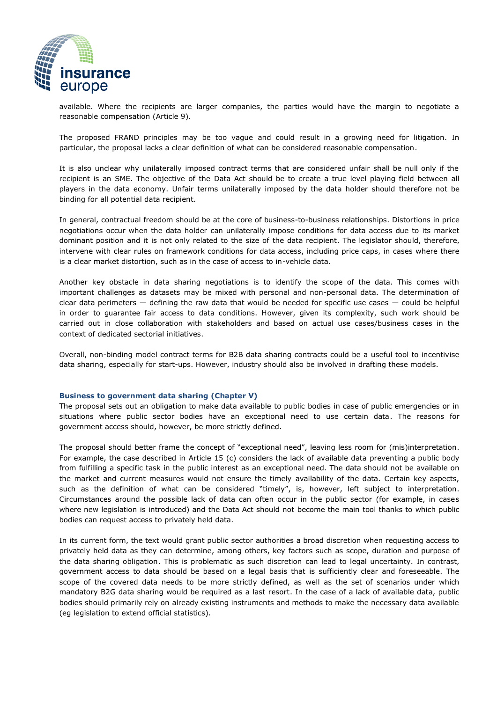

available. Where the recipients are larger companies, the parties would have the margin to negotiate a reasonable compensation (Article 9).

The proposed FRAND principles may be too vague and could result in a growing need for litigation. In particular, the proposal lacks a clear definition of what can be considered reasonable compensation.

It is also unclear why unilaterally imposed contract terms that are considered unfair shall be null only if the recipient is an SME. The objective of the Data Act should be to create a true level playing field between all players in the data economy. Unfair terms unilaterally imposed by the data holder should therefore not be binding for all potential data recipient.

In general, contractual freedom should be at the core of business-to-business relationships. Distortions in price negotiations occur when the data holder can unilaterally impose conditions for data access due to its market dominant position and it is not only related to the size of the data recipient. The legislator should, therefore, intervene with clear rules on framework conditions for data access, including price caps, in cases where there is a clear market distortion, such as in the case of access to in-vehicle data.

Another key obstacle in data sharing negotiations is to identify the scope of the data. This comes with important challenges as datasets may be mixed with personal and non-personal data. The determination of clear data perimeters — defining the raw data that would be needed for specific use cases — could be helpful in order to guarantee fair access to data conditions. However, given its complexity, such work should be carried out in close collaboration with stakeholders and based on actual use cases/business cases in the context of dedicated sectorial initiatives.

Overall, non-binding model contract terms for B2B data sharing contracts could be a useful tool to incentivise data sharing, especially for start-ups. However, industry should also be involved in drafting these models.

#### **Business to government data sharing (Chapter V)**

The proposal sets out an obligation to make data available to public bodies in case of public emergencies or in situations where public sector bodies have an exceptional need to use certain data. The reasons for government access should, however, be more strictly defined.

The proposal should better frame the concept of "exceptional need", leaving less room for (mis)interpretation. For example, the case described in Article 15 (c) considers the lack of available data preventing a public body from fulfilling a specific task in the public interest as an exceptional need. The data should not be available on the market and current measures would not ensure the timely availability of the data. Certain key aspects, such as the definition of what can be considered "timely", is, however, left subject to interpretation. Circumstances around the possible lack of data can often occur in the public sector (for example, in cases where new legislation is introduced) and the Data Act should not become the main tool thanks to which public bodies can request access to privately held data.

In its current form, the text would grant public sector authorities a broad discretion when requesting access to privately held data as they can determine, among others, key factors such as scope, duration and purpose of the data sharing obligation. This is problematic as such discretion can lead to legal uncertainty. In contrast, government access to data should be based on a legal basis that is sufficiently clear and foreseeable. The scope of the covered data needs to be more strictly defined, as well as the set of scenarios under which mandatory B2G data sharing would be required as a last resort. In the case of a lack of available data, public bodies should primarily rely on already existing instruments and methods to make the necessary data available (eg legislation to extend official statistics).